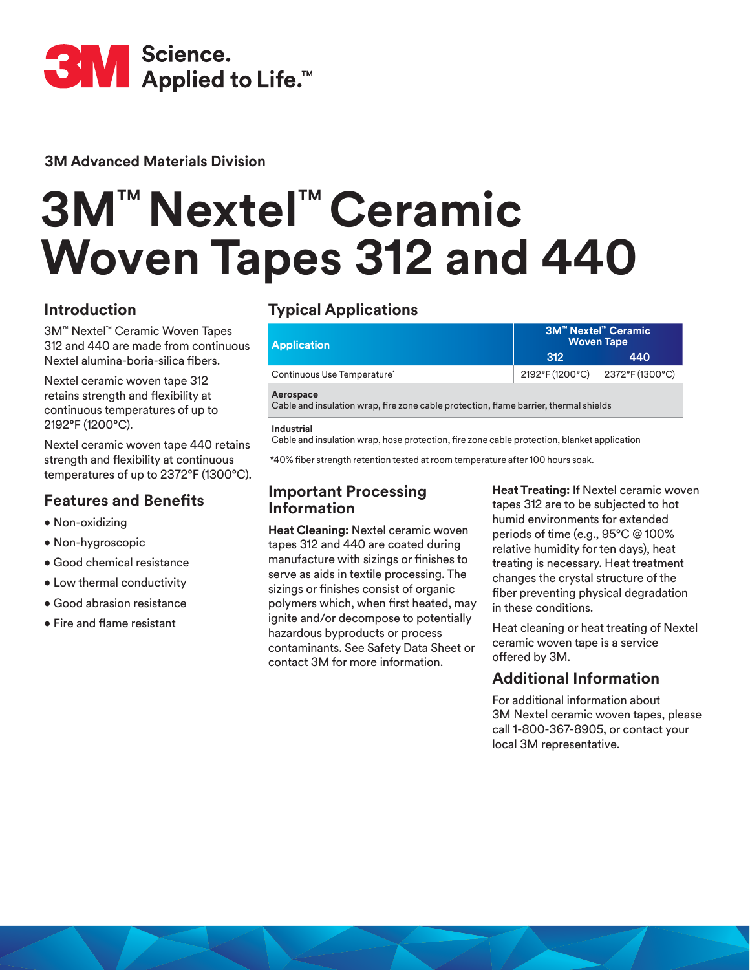

**3M Advanced Materials Division**

# **3M**™ **Nextel**™ **Ceramic Woven Tapes 312 and 440**

## **Introduction**

3M™ Nextel™ Ceramic Woven Tapes 312 and 440 are made from continuous Nextel alumina-boria-silica fibers.

Nextel ceramic woven tape 312 retains strength and flexibility at continuous temperatures of up to 2192°F (1200°C).

Nextel ceramic woven tape 440 retains strength and flexibility at continuous temperatures of up to 2372°F (1300°C).

### **Features and Benefits**

- Non-oxidizing
- Non-hygroscopic
- Good chemical resistance
- Low thermal conductivity
- Good abrasion resistance
- Fire and flame resistant

## **Typical Applications**

| <b>Application</b>                                                                                 | <b>3M™ Nextel™ Ceramic</b><br><b>Woven Tape</b> |                 |  |  |  |  |  |  |
|----------------------------------------------------------------------------------------------------|-------------------------------------------------|-----------------|--|--|--|--|--|--|
|                                                                                                    | 312                                             | 440             |  |  |  |  |  |  |
| Continuous Use Temperature*                                                                        | 2192°F (1200°C)                                 | 2372°F (1300°C) |  |  |  |  |  |  |
| Aerospace<br>Cable and insulation wrap, fire zone cable protection, flame barrier, thermal shields |                                                 |                 |  |  |  |  |  |  |
| Industrial                                                                                         |                                                 |                 |  |  |  |  |  |  |

Cable and insulation wrap, hose protection, fire zone cable protection, blanket application

\*40% fiber strength retention tested at room temperature after 100 hours soak.

### **Important Processing Information**

**Heat Cleaning:** Nextel ceramic woven tapes 312 and 440 are coated during manufacture with sizings or finishes to serve as aids in textile processing. The sizings or finishes consist of organic polymers which, when first heated, may ignite and/or decompose to potentially hazardous byproducts or process contaminants. See Safety Data Sheet or contact 3M for more information.

**Heat Treating:** If Nextel ceramic woven tapes 312 are to be subjected to hot humid environments for extended periods of time (e.g., 95°C @ 100% relative humidity for ten days), heat treating is necessary. Heat treatment changes the crystal structure of the fiber preventing physical degradation in these conditions.

Heat cleaning or heat treating of Nextel ceramic woven tape is a service offered by 3M.

## **Additional Information**

For additional information about 3M Nextel ceramic woven tapes, please call 1-800-367-8905, or contact your local 3M representative.